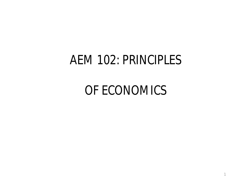#### AEM 102: PRINCIPLES

#### OF ECONOMICS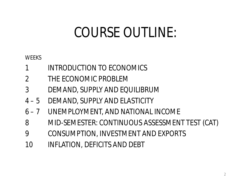## COURSE OUTLINE:

#### **WEEKS**

- 1 INTRODUCTION TO ECONOMICS
- 2 THE ECONOMIC PROBLEM
- 3 DEMAND, SUPPLY AND EQUILIBRUM
- 4 5 DEMAND, SUPPLY AND ELASTICITY
- 6 7 UNEMPLOYMENT, AND NATIONAL INCOME
- 8 MID-SEMESTER: CONTINUOUS ASSESSMENT TEST (CAT)
- 9 CONSUMPTION, INVESTMENT AND EXPORTS
- 10 INFLATION, DEFICITS AND DEBT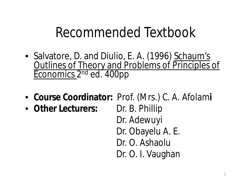## Recommended Textbook

- Salvatore, D. and Diulio, E. A. (1996) Schaum's Outlines of Theory and Problems of Principles of Economics 2<sup>nd</sup> ed. 400pp
- **Course Coordinator:** Prof. (Mrs.) C. A. Afolam**i**
- Other Lecturers: Dr. B. Phillip

Dr. Adewuyi Dr. Obayelu A. E. Dr. O. Ashaolu Dr. O. I. Vaughan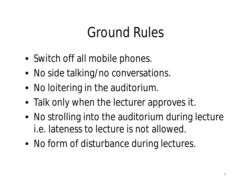## Ground Rules

- Switch off all mobile phones.
- No side talking/no conversations.
- No loitering in the auditorium.
- Talk only when the lecturer approves it.
- No strolling into the auditorium during lecture i.e. lateness to lecture is not allowed.
- No form of disturbance during lectures.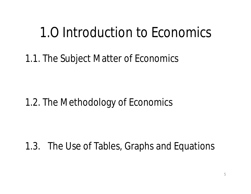#### 1.O Introduction to Economics

1.1. The Subject Matter of Economics

1.2. The Methodology of Economics

1.3. The Use of Tables, Graphs and Equations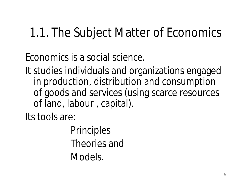#### 1.1. The Subject Matter of Economics

Economics is a social science.

It studies individuals and organizations engaged in production, distribution and consumption of goods and services (using scarce resources of land, labour , capital).

Its tools are:

**Principles** Theories and Models.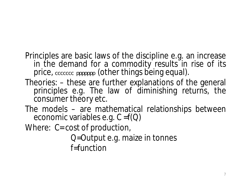- Principles are basic laws of the discipline e.g. an increase in the demand for a commodity results in rise of its price, *ccccccc ppppppp* (other things being equal).
- Theories: these are further explanations of the general principles e.g. The law of diminishing returns, the consumer theory etc.
- The models are mathematical relationships between economic variables e.g. C =f(Q)

Where: C= cost of production,

Q=Output e.g. maize in tonnes f=function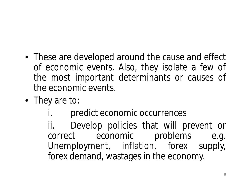- These are developed around the cause and effect of economic events. Also, they isolate a few of the most important determinants or causes of the economic events.
- They are to:
	- predict economic occurrences

ii. Develop policies that will prevent or correct economic problems e.g. Unemployment, inflation, forex supply, forex demand, wastages in the economy.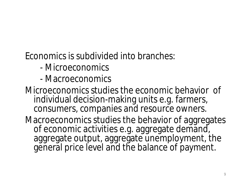Economics is subdivided into branches:

- Microeconomics
- Macroeconomics
- Microeconomics studies the economic behavior of individual decision-making units e.g. farmers, consumers, companies and resource owners.
- Macroeconomics studies the behavior of aggregates of economic activities e.g. aggregate demand, aggregate output, aggregate unemployment, the general price level and the balance of payment.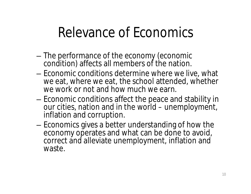## Relevance of Economics

- The performance of the economy (economic condition) affects all members of the nation.
- Economic conditions determine where we live, what we eat, where we eat, the school attended, whether we work or not and how much we earn.
- Economic conditions affect the peace and stability in our cities, nation and in the world – unemployment, inflation and corruption.
- Economics gives a better understanding of how the economy operates and what can be done to avoid, correct and alleviate unemployment, inflation and waste.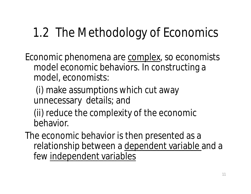#### 1.2 The Methodology of Economics

- Economic phenomena are complex, so economists model economic behaviors. In constructing a model, economists:
	- (i) make assumptions which cut away unnecessary details; and
	- (ii) reduce the complexity of the economic behavior.
- The economic behavior is then presented as a relationship between a dependent variable and a few independent variables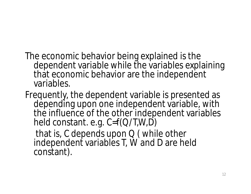- The economic behavior being explained is the dependent variable while the variables explaining that economic behavior are the independent variables.
- Frequently, the dependent variable is presented as depending upon one independent variable, with the influence of the other independent variables held constant. e.g. C=f(Q/T,W,D)

that is, C depends upon Q ( while other independent variables T, W and D are held constant).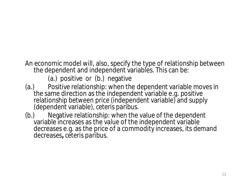An economic model will, also, specify the type of relationship between the dependent and independent variables. This can be:

(a.) positive or (b.) negative

- (a.) Positive relationship: when the dependent variable moves in the same direction as the independent variable e.g. positive relationship between price (independent variable) and supply (dependent variable*), ceteris paribus*.
- (b.) Negative relationship: when the value of the dependent variable increases as the value of the independent variable decreases e.g. as the price of a commodity increases, its demand decreases**,** *ceteris paribus*.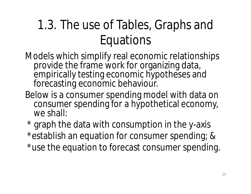#### 1.3. The use of Tables, Graphs and Equations

- Models which simplify real economic relationships provide the frame work for organizing data, empirically testing economic hypotheses and forecasting economic behaviour.
- Below is a consumer spending model with data on consumer spending for a hypothetical economy, we shall:
- \* graph the data with consumption in the y-axis \*establish an equation for consumer spending; &
- \*use the equation to forecast consumer spending.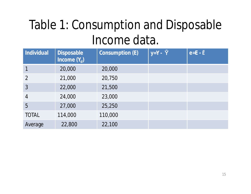#### Table 1: Consumption and Disposable Income data.

| <b>Individual</b> | <b>Disposable</b><br>Income $(Y_d)$ | <b>Consumption (E)</b> | $y=Y - \bar{Y}$ | $e=E - \bar{E}$ |
|-------------------|-------------------------------------|------------------------|-----------------|-----------------|
|                   | 20,000                              | 20,000                 |                 |                 |
| $\overline{2}$    | 21,000                              | 20,750                 |                 |                 |
| 3                 | 22,000                              | 21,500                 |                 |                 |
| $\overline{4}$    | 24,000                              | 23,000                 |                 |                 |
| 5                 | 27,000                              | 25,250                 |                 |                 |
| <b>TOTAL</b>      | 114,000                             | 110,000                |                 |                 |
| Average           | 22,800                              | 22,100                 |                 |                 |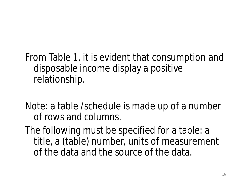From Table 1, it is evident that consumption and disposable income display a positive relationship.

Note: a table /schedule is made up of a number of rows and columns.

The following must be specified for a table: a title, a (table) number, units of measurement of the data and the source of the data.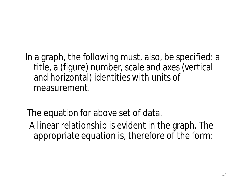In a graph, the following must, also, be specified: a title, a (figure) number, scale and axes (vertical and horizontal) identities with units of measurement.

The equation for above set of data. A linear relationship is evident in the graph. The appropriate equation is, therefore of the form: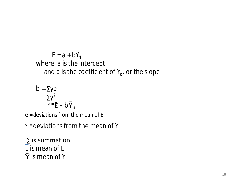$E = a + bY_d$ where: a is the intercept and b is the coefficient of  $\mathsf{Y}_{\mathsf{d}}$ , or the slope

$$
b = \frac{\sum ye}{\sum y^2}
$$

$$
a = \bar{E} - b\bar{Y}_d
$$

e = deviations from the mean of E

 $y =$  deviations from the mean of Y

∑ is summation E is mean of E  $\bar{Y}$  is mean of Y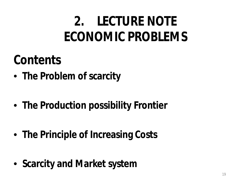## **2. LECTURE NOTE ECONOMIC PROBLEMS**

#### **Contents**

- **The Problem of scarcity**
- **The Production possibility Frontier**
- **The Principle of Increasing Costs**
- **Scarcity and Market system**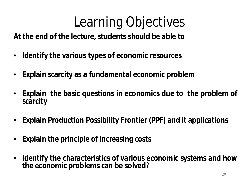## Learning Objectives

**At the end of the lecture, students should be able to** 

- **Identify the various types of economic resources**
- **Explain scarcity as a fundamental economic problem**
- **Explain the basic questions in economics due to the problem of scarcity**
- **Explain Production Possibility Frontier (PPF) and it applications**
- **Explain the principle of increasing costs**
- **Identify the characteristics of various economic systems and how the economic problems can be solved**?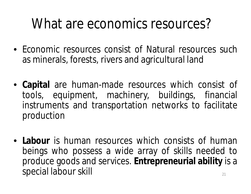## What are economics resources?

- Economic resources consist of Natural resources such as minerals, forests, rivers and agricultural land
- **Capital** are human-made resources which consist of tools, equipment, machinery, buildings, financial instruments and transportation networks to facilitate production
- **Labour** is human resources which consists of human beings who possess a wide array of skills needed to produce goods and services. **Entrepreneurial ability** is a special labour skill 21 and 22 and 21 and 21 and 21 and 21 and 21 and 21 and 21 and 21 and 21 and 21 and 21 and 21 and 21 and 21 and 21 and 21 and 21 and 21 and 21 and 21 and 21 and 21 and 21 and 21 and 21 and 21 and 21 an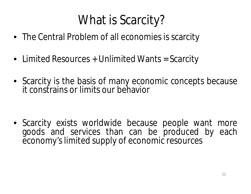#### What is Scarcity?

- The Central Problem of all economies is scarcity
- Limited Resources + Unlimited Wants = Scarcity
- Scarcity is the basis of many economic concepts because it constrains or limits our behavior

• Scarcity exists worldwide because people want more goods and services than can be produced by each economy's limited supply of economic resources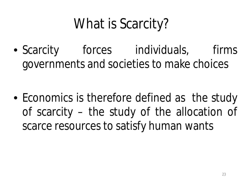## What is Scarcity?

• Scarcity forces individuals, firms governments and societies to make choices

• Economics is therefore defined as the study of scarcity – the study of the allocation of scarce resources to satisfy human wants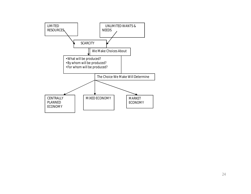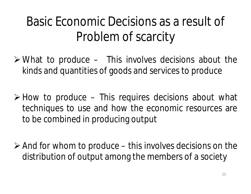#### Basic Economic Decisions as a result of Problem of scarcity

- $\triangleright$  What to produce This involves decisions about the kinds and quantities of goods and services to produce
- $\triangleright$  How to produce This requires decisions about what techniques to use and how the economic resources are to be combined in producing output
- $\triangleright$  And for whom to produce this involves decisions on the distribution of output among the members of a society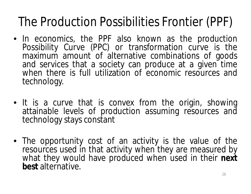## The Production Possibilities Frontier (PPF)

- In economics, the PPF also known as the production Possibility Curve (PPC) or transformation curve is the maximum amount of alternative combinations of goods and services that a society can produce at a given time when there is full utilization of economic resources and technology.
- It is a curve that is convex from the origin, showing attainable levels of production assuming resources and technology stays constant
- The opportunity cost of an activity is the value of the resources used in that activity when they are measured by what they would have produced when used in their **next best** alternative.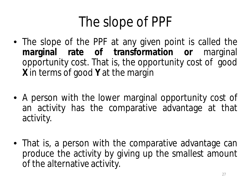## The slope of PPF

- The slope of the PPF at any given point is called the **marginal rate of transformation or** marginal opportunity cost. That is, the opportunity cost of good **X** in terms of good **Y** at the margin
- A person with the lower marginal opportunity cost of an activity has the comparative advantage at that activity.
- That is, a person with the comparative advantage can produce the activity by giving up the smallest amount of the alternative activity.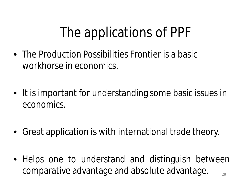## The applications of PPF

- The Production Possibilities Frontier is a basic workhorse in economics.
- It is important for understanding some basic issues in economics.
- Great application is with international trade theory.
- Helps one to understand and distinguish between comparative advantage and absolute advantage. 28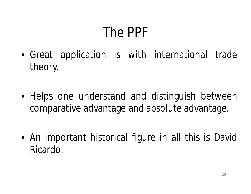# The PPF

- Great application is with international trade theory.
- Helps one understand and distinguish between comparative advantage and absolute advantage.
- An important historical figure in all this is David Ricardo.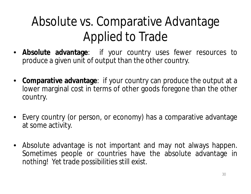#### Absolute vs. Comparative Advantage Applied to Trade

- **Absolute advantage**: if your country uses fewer resources to produce a given unit of output than the other country.
- **Comparative advantage**: if your country can produce the output at a lower marginal cost in terms of other goods foregone than the other country.
- Every country (or person, or economy) has a comparative advantage at some activity.
- Absolute advantage is not important and may not always happen. Sometimes people or countries have the absolute advantage in nothing! Yet trade possibilities still exist.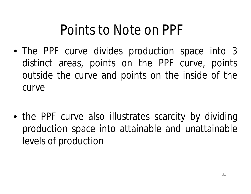#### Points to Note on PPF

- The PPF curve divides production space into 3 distinct areas, points on the PPF curve, points outside the curve and points on the inside of the curve
- the PPF curve also illustrates scarcity by dividing production space into attainable and unattainable levels of production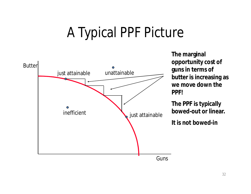## A Typical PPF Picture



**The marginal opportunity cost of guns in terms of butter is increasing as we move down the PPF!**

**The PPF is typically bowed-out or linear.**

**It is not bowed-in**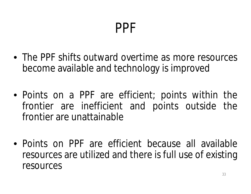#### PPF

- The PPF shifts outward overtime as more resources become available and technology is improved
- Points on a PPF are efficient; points within the frontier are inefficient and points outside the frontier are unattainable
- Points on PPF are efficient because all available resources are utilized and there is full use of existing resources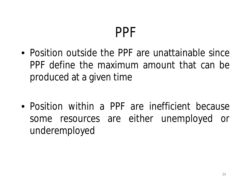## PPF

- Position outside the PPF are unattainable since PPF define the maximum amount that can be produced at a given time
- Position within a PPF are inefficient because some resources are either unemployed or underemployed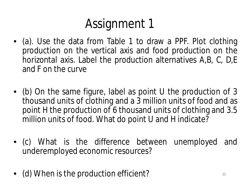## Assignment 1

- (a). Use the data from Table 1 to draw a PPF. Plot clothing production on the vertical axis and food production on the horizontal axis. Label the production alternatives A,B, C, D,E and F on the curve
- (b) On the same figure, label as point U the production of 3 thousand units of clothing and a 3 million units of food and as point H the production of 6 thousand units of clothing and 3.5 million units of food. What do point U and H indicate?
- (c) What is the difference between unemployed and underemployed economic resources?
- (d) When is the production efficient?  $\bullet$  35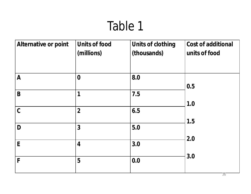#### Table 1

| <b>Alternative or point</b> | <b>Units of food</b><br>(millions) | <b>Units of clothing</b><br>(thousands) | <b>Cost of additional</b><br>units of food |
|-----------------------------|------------------------------------|-----------------------------------------|--------------------------------------------|
| $\boldsymbol{A}$            | $\boldsymbol{0}$                   | 8.0                                     | 0.5                                        |
| B                           | 1                                  | 7.5                                     | 1.0                                        |
| $\mathbf C$                 | $\overline{2}$                     | 6.5                                     | 1.5                                        |
| D                           | $\overline{\mathbf{3}}$            | 5.0                                     | 2.0                                        |
| E                           | $\overline{\mathbf{4}}$            | 3.0                                     | 3.0                                        |
| F                           | 5                                  | 0.0                                     |                                            |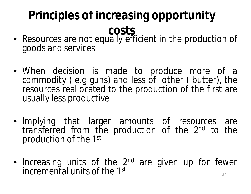### **Principles of increasing opportunity costs**

- Resources are not equally efficient in the production of goods and services
- When decision is made to produce more of a commodity ( e.g guns) and less of other ( butter), the resources reallocated to the production of the first are usually less productive
- Implying that larger amounts of resources are transferred from the production of the 2<sup>nd</sup> to the production of the 1st
- Increasing units of the 2<sup>nd</sup> are given up for fewer incremental units of the 1<sup>st</sup> 37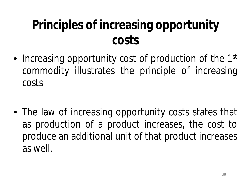## **Principles of increasing opportunity costs**

- Increasing opportunity cost of production of the 1st commodity illustrates the principle of increasing costs
- The law of increasing opportunity costs states that as production of a product increases, the cost to produce an additional unit of that product increases as well.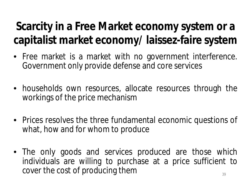### **Scarcity in a Free Market economy system or a capitalist market economy/ laissez-faire system**

- Free market is a market with no government interference. Government only provide defense and core services
- households own resources, allocate resources through the workings of the price mechanism
- Prices resolves the three fundamental economic questions of what, how and for whom to produce
- The only goods and services produced are those which individuals are willing to purchase at a price sufficient to cover the cost of producing them  $\frac{39}{39}$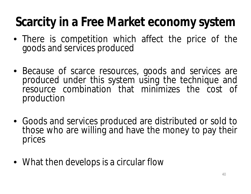## **Scarcity in a Free Market economy system**

- There is competition which affect the price of the goods and services produced
- Because of scarce resources, goods and services are produced under this system using the technique and resource combination that minimizes the cost of production
- Goods and services produced are distributed or sold to those who are willing and have the money to pay their prices
- What then develops is a circular flow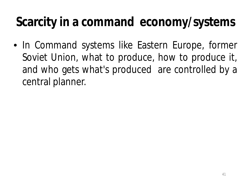## **Scarcity in a command economy/systems**

• In Command systems like Eastern Europe, former Soviet Union, what to produce, how to produce it, and who gets what's produced are controlled by a central planner.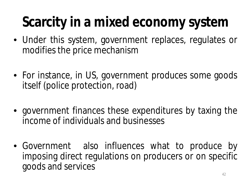# **Scarcity in a mixed economy system**

- Under this system, government replaces, regulates or modifies the price mechanism
- For instance, in US, government produces some goods itself (police protection, road)
- government finances these expenditures by taxing the income of individuals and businesses
- Government also influences what to produce by imposing direct regulations on producers or on specific goods and services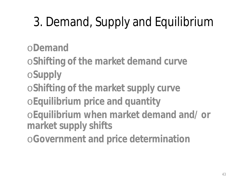# 3. Demand, Supply and Equilibrium

o**Demand**

o**Shifting of the market demand curve** o**Supply** 

o**Shifting of the market supply curve**

o**Equilibrium price and quantity**

o**Equilibrium when market demand and/ or market supply shifts**

o**Government and price determination**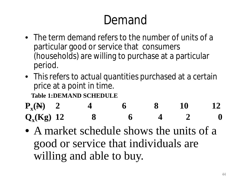## Demand

- The term demand refers to the number of units of a particular good or service that consumers (households) are willing to purchase at a particular period.
- This refers to actual quantities purchased at a certain price at a point in time.

**Table 1:DEMAND SCHEDULE**

**Px (N) 2 4 6 8 10 12 Q**<sub>**x**</sub>(Kg) 12 8 6 4 2 0

• A market schedule shows the units of a good or service that individuals are willing and able to buy.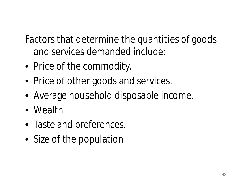Factors that determine the quantities of goods and services demanded include:

- Price of the commodity.
- Price of other goods and services.
- Average household disposable income.
- Wealth
- Taste and preferences.
- Size of the population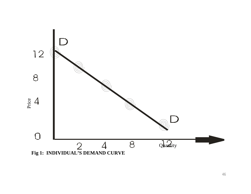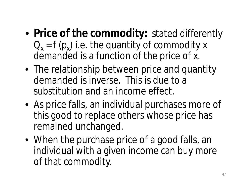- **Price of the commodity:** stated differently  $Q_x = f(p_x)$  i.e. the quantity of commodity x demanded is a function of the price of x.
- The relationship between price and quantity demanded is inverse. This is due to a substitution and an income effect.
- As price falls, an individual purchases more of this good to replace others whose price has remained unchanged.
- When the purchase price of a good falls, an individual with a given income can buy more of that commodity.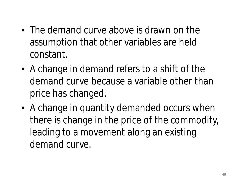- The demand curve above is drawn on the assumption that other variables are held constant.
- A change in demand refers to a shift of the demand curve because a variable other than price has changed.
- A change in quantity demanded occurs when there is change in the price of the commodity, leading to a movement along an existing demand curve.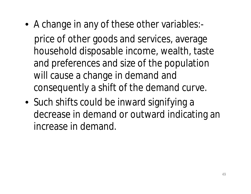• A change in any of these other variables:-

price of other goods and services, average household disposable income, wealth, taste and preferences and size of the population will cause a change in demand and consequently a shift of the demand curve.

• Such shifts could be inward signifying a decrease in demand or outward indicating an increase in demand.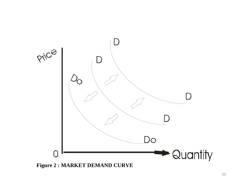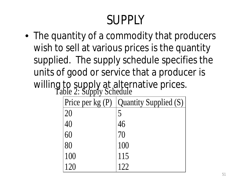## **SUPPIY**

• The quantity of a commodity that producers wish to sell at various prices is the quantity supplied. The supply schedule specifies the units of good or service that a producer is willing to supply at alternative prices. Table 2: Supply Schedule

| Price per $kg(P)$ | <b>Quantity Supplied (S)</b> |
|-------------------|------------------------------|
| 20                | 5                            |
| 40                | 46                           |
| $\overline{60}$   | 70                           |
| 80                | 100                          |
| 100               | 115                          |
|                   |                              |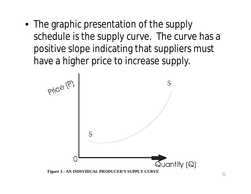• The graphic presentation of the supply schedule is the supply curve. The curve has a positive slope indicating that suppliers must have a higher price to increase supply.

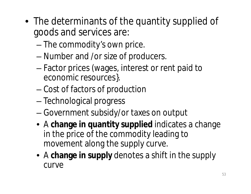- The determinants of the quantity supplied of goods and services are:
	- The commodity's own price.
	- Number and /or size of producers.
	- Factor prices (wages, interest or rent paid to economic resources}.
	- Cost of factors of production
	- Technological progress
	- Government subsidy/or taxes on output
	- A **change in quantity supplied** indicates a change in the price of the commodity leading to movement along the supply curve.
	- A **change in supply** denotes a shift in the supply curve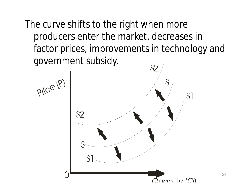The curve shifts to the right when more producers enter the market, decreases in factor prices, improvements in technology and government subsidy.

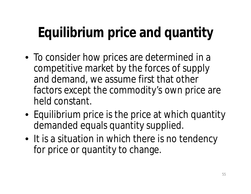# **Equilibrium price and quantity**

- To consider how prices are determined in a competitive market by the forces of supply and demand, we assume first that other factors except the commodity's own price are held constant.
- Equilibrium price is the price at which quantity demanded equals quantity supplied.
- It is a situation in which there is no tendency for price or quantity to change.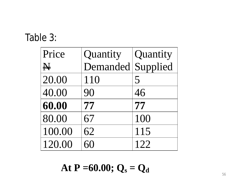#### Table 3:

| Price        | Quantity          | Quantity |
|--------------|-------------------|----------|
| $\mathbf{H}$ | Demanded Supplied |          |
| 20.00        | 110               | 5        |
| 40.00        | 90                | 46       |
| 60.00        | 77                | 77       |
| 80.00        | 67                | 100      |
| 100.00       | 62                | 115      |
| 120.00       |                   | 122      |

At  $P = 60.00$ ;  $Q_s = Q_d$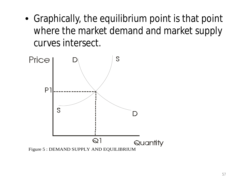• Graphically, the equilibrium point is that point where the market demand and market supply curves intersect.

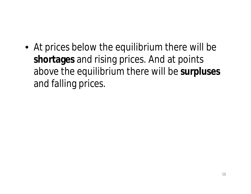• At prices below the equilibrium there will be **shortages** and rising prices. And at points above the equilibrium there will be **surpluses** and falling prices.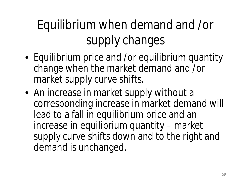## Equilibrium when demand and /or supply changes

- Equilibrium price and /or equilibrium quantity change when the market demand and /or market supply curve shifts.
- An increase in market supply without a corresponding increase in market demand will lead to a fall in equilibrium price and an increase in equilibrium quantity – market supply curve shifts down and to the right and demand is unchanged.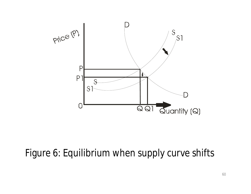

#### Figure 6: Equilibrium when supply curve shifts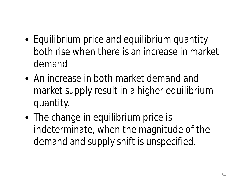- Equilibrium price and equilibrium quantity both rise when there is an increase in market demand
- An increase in both market demand and market supply result in a higher equilibrium quantity.
- The change in equilibrium price is indeterminate, when the magnitude of the demand and supply shift is unspecified.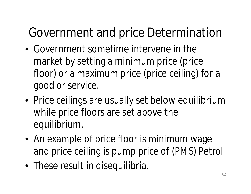## Government and price Determination

- Government sometime intervene in the market by setting a minimum price (price floor) or a maximum price (price ceiling) for a good or service.
- Price ceilings are usually set below equilibrium while price floors are set above the equilibrium.
- An example of price floor is minimum wage and price ceiling is pump price of (PMS) Petrol
- These result in disequilibria.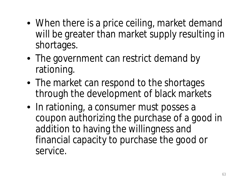- When there is a price ceiling, market demand will be greater than market supply resulting in shortages.
- The government can restrict demand by rationing.
- The market can respond to the shortages through the development of black markets
- In rationing, a consumer must posses a coupon authorizing the purchase of a good in addition to having the willingness and financial capacity to purchase the good or service.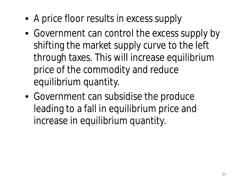- A price floor results in excess supply
- Government can control the excess supply by shifting the market supply curve to the left through taxes. This will increase equilibrium price of the commodity and reduce equilibrium quantity.
- Government can subsidise the produce leading to a fall in equilibrium price and increase in equilibrium quantity.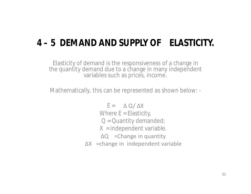### **4 – 5 DEMAND AND SUPPLY OF ELASTICITY.**

Elasticity of demand is the responsiveness of a change in the quantity demand due to a change in many independent variables such as prices, income.

Mathematically, this can be represented as shown below: -

 $E = \Delta Q / \Delta X$ Where  $E =$  Elasticity,  $Q =$  Quantity demanded;  $X =$  independent variable. ΔQ =Change in quantity ΔX =change in independent variable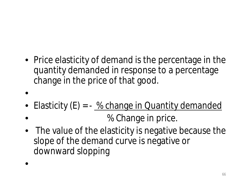- Price elasticity of demand is the percentage in the quantity demanded in response to a percentage change in the price of that good.
- •
- Elasticity  $(E) = -\frac{96}{20}$  change in Quantity demanded
	- % Change in price.
- The value of the elasticity is negative because the slope of the demand curve is negative or downward slopping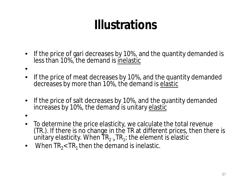## **Illustrations**

- If the price of gari decreases by 10%, and the quantity demanded is less than 10%, the demand is inelastic
- •
- If the price of meat decreases by 10%, and the quantity demanded decreases by more than 10%, the demand is elastic
- If the price of salt decreases by 10%, and the quantity demanded increases by 10%, the demand is unitary elastic
- •
- To determine the price elasticity, we calculate the total revenue (TR.). If there is no change in the TR at different prices, then there is unitary elasticity. When TR $_{\rm 2}$  , TR $_{\rm 1}$ ; the element is elastic
- When  $TR_{2}$ <  $TR_{1}$  then the demand is inelastic.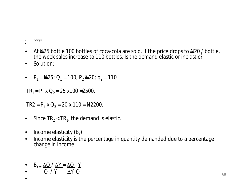• Example •

- At  $\text{A25}$  bottle 100 bottles of coca-cola are sold. If the price drops to  $\text{A20}$  / bottle, the week sales increase to 110 bottles. Is the demand elastic or inelastic?
- Solution:
- $P_1 = \frac{125}{9}$ ; Q<sub>1</sub> = 100; P<sub>2</sub>  $\frac{120}{9}$ ; q<sub>2</sub> = 110

 $TR_1 = P_1 \times Q_2 = 25 \times 100 = 2500.$ 

TR2 = P<sup>2</sup> x Q<sup>2</sup> = 20 x 110 = N2200.

- Since  $TR_2$  <  $TR_1$ , the demand is elastic.
- $\bullet$   $\quad$  <u>Income elasticity (</u>E<sub>Y</sub>)
- Income elasticity is the percentage in quantity demanded due to a percentage change in income.
- $E_{Y} = \underline{\Delta Q} / \underline{\Delta Y} = \underline{\Delta Q} . Y$
- $Q / Y$   $\Delta Y Q$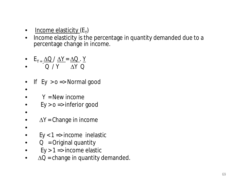- $\bullet$   $\quad$  <u>Income elasticity (</u>E<sub>Y</sub>)
- Income elasticity is the percentage in quantity demanded due to a percentage change in income.
- $E_{Y} = \underline{\Delta Q} / \underline{\Delta Y} = \underline{\Delta Q} . Y$
- $Q / Y$   $\Delta Y Q$
- If  $Ey > 0 \Rightarrow Normal good$
- •
- $Y = New income$
- $Ey > o \Rightarrow$  inferior good
- •
- $\Delta Y$  = Change in income
- •
- $Ey < 1 \Rightarrow income$  inclastic
- $Q =$  Original quantity
- $Ey > 1 \Rightarrow$  income elastic
- $\Delta Q$  = change in quantity demanded.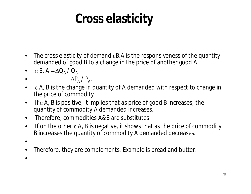# **Cross elasticity**

- The cross elasticity of demand  $\varepsilon$ B.A is the responsiveness of the quantity demanded of good B to a change in the price of another good A.
- $\bullet$   $\epsilon$  B, A =  $\underline{\Delta Q_B}$  /  $\underline{Q_B}$
- $\Delta P_A / P_A$ .
- $\epsilon$  A, B is the change in quantity of A demanded with respect to change in the price of commodity.
- If  $\epsilon$  A, B is positive, it implies that as price of good B increases, the quantity of commodity A demanded increases.
- Therefore, commodities A&B are substitutes.
- If on the other  $\epsilon$  A, B is negative, it shows that as the price of commodity B increases the quantity of commodity A demanded decreases.
- •
- Therefore, they are complements. Example is bread and butter.
- •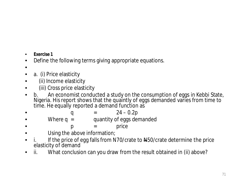- *Exercise 1*
- Define the following terms giving appropriate equations.
- •
- a. (i) Price elasticity
- (ii) Income elasticity
- (iii) Cross price elasticity
- b. An economist conducted a study on the consumption of eggs in Kebbi State, Nigeria. His report shows that the quaintly of eggs demanded varies from time to time. He equally reported a demand function as
- q  $=$  24 0.2p
- Where  $q =$  quantity of eggs demanded
- $\begin{array}{ccc} \text{\large $\mathsf{p}$} & = & \text{\large $\mathsf{price}} \end{array}$
- Using the above information;
- If the price of egg falls from N70/crate to  $#50$ /crate determine the price elasticity of demand
- ii. What conclusion can you draw from the result obtained in (ii) above?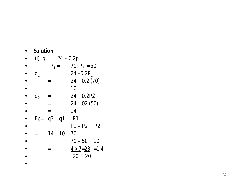| <b>Solution</b> |                     |                         |    |
|-----------------|---------------------|-------------------------|----|
|                 | (i) q = $24 - 0.2p$ |                         |    |
|                 | $P_1 =$             | 70; $P_2 = 50$          |    |
| $q_{1}$         | $=$                 | $24 - 0.2P_1$           |    |
|                 | =                   | $24 - 0.2(70)$          |    |
|                 |                     | 10                      |    |
| q <sub>2</sub>  | $=$                 | $24 - 0.2P2$            |    |
|                 | $=$                 | $24 - 02(50)$           |    |
|                 | $=$                 | 14                      |    |
|                 | $Ep = q2 - q1$      | P <sub>1</sub>          |    |
|                 |                     | $P1 - P2$ $P2$          |    |
| $=$             | $14 - 10$           | 70                      |    |
|                 |                     | $70 - 50$               | 10 |
|                 |                     | $4 \times 7 = 28 = 1.4$ |    |
|                 |                     | 20<br>20                |    |
|                 |                     |                         |    |

 $\bullet$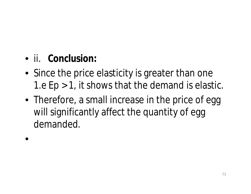## • ii. **Conclusion:**

- Since the price elasticity is greater than one 1.e Ep > 1, it shows that the demand is elastic.
- Therefore, a small increase in the price of egg will significantly affect the quantity of egg demanded.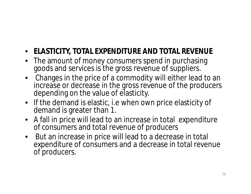### • **ELASTICITY, TOTAL EXPENDITURE AND TOTAL REVENUE**

- The amount of money consumers spend in purchasing goods and services is the gross revenue of suppliers.
- Changes in the price of a commodity will either lead to an increase or decrease in the gross revenue of the producers depending on the value of elasticity.
- If the demand is elastic, i.e when own price elasticity of demand is greater than 1.
- A fall in price will lead to an increase in total expenditure of consumers and total revenue of producers
- But an increase in price will lead to a decrease in total expenditure of consumers and a decrease in total revenue of producers.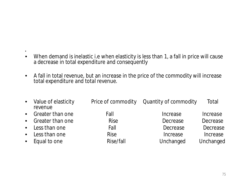- •
- When demand is inelastic i.e when elasticity is less than 1, a fall in price will cause a decrease in total expenditure and consequently
- A fall in total revenue, but an increase in the price of the commodity will increase total expenditure and total revenue.

| • Value of elasticity<br>revenue |             | Price of commodity Quantity of commodity | Total     |
|----------------------------------|-------------|------------------------------------------|-----------|
| • Greater than one               | Fall        | Increase                                 | Increase  |
| • Greater than one               | <b>Rise</b> | Decrease                                 | Decrease  |
| • Less than one                  | Fall        | Decrease                                 | Decrease  |
| • Less than one                  | <b>Rise</b> | Increase                                 | Increase  |
| • Equal to one                   | Rise/fall   | Unchanged                                | Unchanged |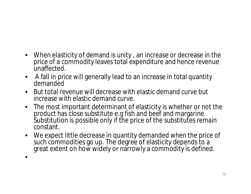- When elasticity of demand is unity , an increase or decrease in the price of a commodity leaves total expenditure and hence revenue unaffected.
- A fall in price will generally lead to an increase in total quantity demanded
- But total revenue will decrease with elastic demand curve but increase with elastic demand curve.
- The most important determinant of elasticity is whether or not the product has close substitute e.g fish and beef and margarine. Substitution is possible only if the price of the substitutes remain constant.
- We expect little decrease in quantity demanded when the price of such commodities go up. The degree of elasticity depends to a great extent on how widely or narrowly a commodity is defined.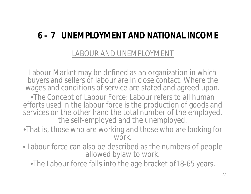### **6 – 7 UNEMPLOYMENT AND NATIONAL INCOME**

#### LABOUR AND UNEMPLOYMENT

Labour Market may be defined as an organization in which buyers and sellers of labour are in close contact. Where the wages and conditions of service are stated and agreed upon.

•The Concept of Labour Force: Labour refers to all human efforts used in the labour force is the production of goods and services on the other hand the total number of the employed, the self-employed and the unemployed.

•That is, those who are working and those who are looking for work.

• Labour force can also be described as the numbers of people allowed bylaw to work.

•The Labour force falls into the age bracket of18-65 years.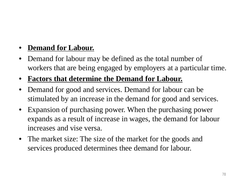#### • **Demand for Labour.**

- Demand for labour may be defined as the total number of workers that are being engaged by employers at a particular time.
- **Factors that determine the Demand for Labour.**
- Demand for good and services. Demand for labour can be stimulated by an increase in the demand for good and services.
- Expansion of purchasing power. When the purchasing power expands as a result of increase in wages, the demand for labour increases and vise versa.
- The market size: The size of the market for the goods and services produced determines thee demand for labour.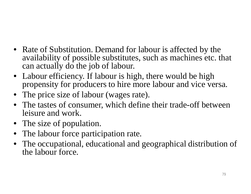- Rate of Substitution. Demand for labour is affected by the availability of possible substitutes, such as machines etc. that can actually do the job of labour.
- Labour efficiency. If labour is high, there would be high propensity for producers to hire more labour and vice versa.
- The price size of labour (wages rate).
- The tastes of consumer, which define their trade-off between leisure and work.
- The size of population.
- The labour force participation rate.
- The occupational, educational and geographical distribution of the labour force.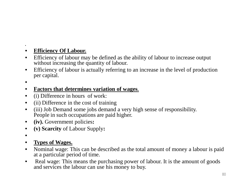#### • • **Efficiency Of Labour.**

- Efficiency of labour may be defined as the ability of labour to increase output without increasing the quantity of labour.
- Efficiency of labour is actually referring to an increase in the level of production per capital.

•

#### • **Factors that determines variation of wages**.

- (i) Difference in hours of work:
- (ii) Difference in the cost of training
- (iii) Job Demand some jobs demand a very high sense of responsibility. People in such occupations are paid higher.
- **(iv).** Government policies**:**
- **(v) Scarcity** of Labour Supply**:**
- •
- **Types of Wages.**
- Nominal wage: This can be described as the total amount of money a labour is paid at a particular period of time.
- Real wage: This means the purchasing power of labour. It is the amount of goods and services the labour can use his money to buy.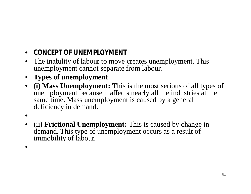#### • **CONCEPT OF UNEMPLOYMENT**

- The inability of labour to move creates unemployment. This unemployment cannot separate from labour.
- **Types of unemployment**
- **(i) Mass Unemployment: T**his is the most serious of all types of unemployment because it affects nearly all the industries at the same time. Mass unemployment is caused by a general deficiency in demand.
- •
- (ii**) Frictional Unemployment:** This is caused by change in demand. This type of unemployment occurs as a result of immobility of labour.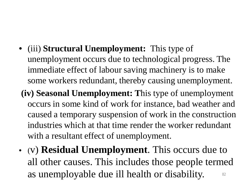- (iii) **Structural Unemployment:** This type of unemployment occurs due to technological progress. The immediate effect of labour saving machinery is to make some workers redundant, thereby causing unemployment.
	- **(iv) Seasonal Unemployment: T**his type of unemployment occurs in some kind of work for instance, bad weather and caused a temporary suspension of work in the construction industries which at that time render the worker redundant with a resultant effect of unemployment.
- (v) **Residual Unemployment**. This occurs due to all other causes. This includes those people termed as unemployable due ill health or disability. <sup>82</sup>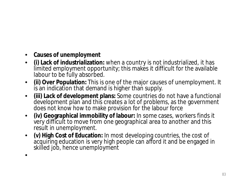- **Causes of unemployment**
- **(i) Lack of industrialization:** when a country is not industrialized, it has limited employment opportunity; this makes it difficult for the available labour to be fully absorbed.
- **(ii) Over Population:** This is one of the major causes of unemployment. It is an indication that demand is higher than supply.
- **(iii) Lack of development plans:** Some countries do not have a functional development plan and this creates a lot of problems, as the government does not know how to make provision for the labour force
- **(iv) Geographical immobility of labour:** In some cases, workers finds it very difficult to move from one geographical area to another and this result in unemployment.
- **(v) High Cost of Education:** In most developing countries, the cost of acquiring education is very high people can afford it and be engaged in skilled job, hence unemployment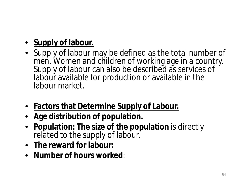### • **Supply of labour.**

- Supply of labour may be defined as the total number of men. Women and children of working age in a country. Supply of labour can also be described as services of labour available for production or available in the labour market.
- **Factors that Determine Supply of Labour.**
- **Age distribution of population.**
- **Population: The size of the population** is directly related to the supply of labour.
- **The reward for labour:**
- **Number of hours worked**: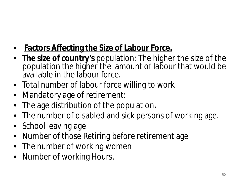- **Factors Affecting the Size of Labour Force.**
- **The size of country's** population: The higher the size of the population the higher the amount of labour that would be available in the labour force.
- Total number of labour force willing to work
- Mandatory age of retirement:
- The age distribution of the population**.**
- The number of disabled and sick persons of working age.
- School leaving age
- Number of those Retiring before retirement age
- The number of working women
- Number of working Hours.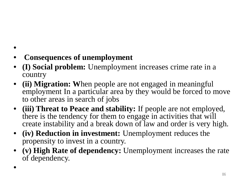- **Consequences of unemployment**
- **(I) Social problem:** Unemployment increases crime rate in a country
- **(ii) Migration: W**hen people are not engaged in meaningful employment In a particular area by they would be forced to move to other areas in search of jobs
- **(iii) Threat to Peace and stability:** If people are not employed, there is the tendency for them to engage in activities that will create instability and a break down of law and order is very high.
- **(iv) Reduction in investment:** Unemployment reduces the propensity to invest in a country.
- **(v) High Rate of dependency:** Unemployment increases the rate of dependency.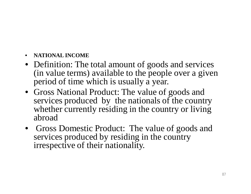- **NATIONAL INCOME**
- Definition: The total amount of goods and services (in value terms) available to the people over a given period of time which is usually a year.
- Gross National Product: The value of goods and services produced by the nationals of the country whether currently residing in the country or living abroad
- Gross Domestic Product: The value of goods and services produced by residing in the country irrespective of their nationality.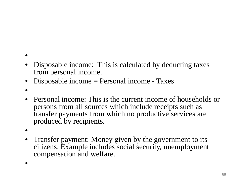- •
- Disposable income: This is calculated by deducting taxes from personal income.
- Disposable income = Personal income Taxes
- •
- Personal income: This is the current income of households or persons from all sources which include receipts such as transfer payments from which no productive services are produced by recipients.
- •
- Transfer payment: Money given by the government to its citizens. Example includes social security, unemployment compensation and welfare.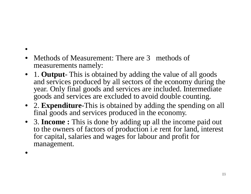- •
- Methods of Measurement: There are 3 methods of measurements namely:
- 1. **Output** This is obtained by adding the value of all goods and services produced by all sectors of the economy during the year. Only final goods and services are included. Intermediate goods and services are excluded to avoid double counting.
- 2. **Expenditure**-This is obtained by adding the spending on all final goods and services produced in the economy.
- 3. **Income :** This is done by adding up all the income paid out to the owners of factors of production i.e rent for land, interest for capital, salaries and wages for labour and profit for management.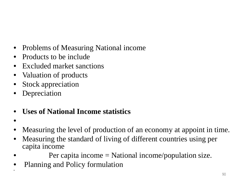- Problems of Measuring National income
- Products to be include
- Excluded market sanctions
- Valuation of products
- Stock appreciation
- **Depreciation**
- **Uses of National Income statistics**
- •

- Measuring the level of production of an economy at appoint in time.
- Measuring the standard of living of different countries using per capita income
- Per capita income  $=$  National income/population size.
- Planning and Policy formulation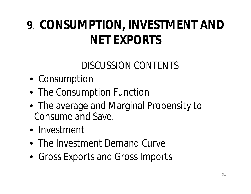# **9**. **CONSUMPTION, INVESTMENT AND NET EXPORTS**

## DISCUSSION CONTENTS

- Consumption
- The Consumption Function
- The average and Marginal Propensity to Consume and Save.
- Investment
- The Investment Demand Curve
- Gross Exports and Gross Imports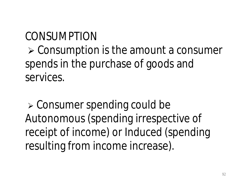# CONSUMPTION

 $\triangleright$  Consumption is the amount a consumer spends in the purchase of goods and services.

 $\geq$  Consumer spending could be Autonomous (spending irrespective of receipt of income) or Induced (spending resulting from income increase).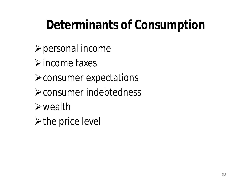# **Determinants of Consumption**

- personal income
- $\triangleright$  income taxes
- consumer expectations
- consumer indebtedness
- wealth
- $\triangleright$  the price level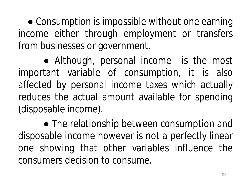• Consumption is impossible without one earning income either through employment or transfers from businesses or government.

• Although, personal income is the most important variable of consumption, it is also affected by personal income taxes which actually reduces the actual amount available for spending (disposable income).

● The relationship between consumption and disposable income however is not a perfectly linear one showing that other variables influence the consumers decision to consume.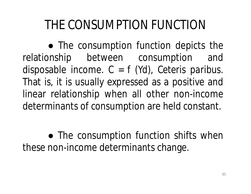# THE CONSUMPTION FUNCTION

• The consumption function depicts the relationship between consumption and disposable income. *C = f (Yd)*, *Ceteris paribus*. That is, it is usually expressed as a positive and linear relationship when all other non-income determinants of consumption are held constant.

• The consumption function shifts when these non-income determinants change.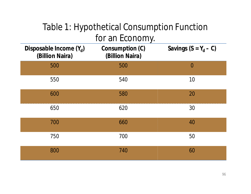### Table 1: Hypothetical Consumption Function for an Economy.

| Disposable Income $(Y_d)$<br>(Billion Naira) | <b>Consumption (C)</b><br>(Billion Naira) | Savings $(S = Y_d - C)$ |
|----------------------------------------------|-------------------------------------------|-------------------------|
| 500                                          | 500                                       | $\overline{0}$          |
| 550                                          | 540                                       | 10                      |
| 600                                          | 580                                       | 20                      |
| 650                                          | 620                                       | 30                      |
| 700                                          | 660                                       | 40                      |
| 750                                          | 700                                       | 50                      |
| 800                                          | 740                                       | 60                      |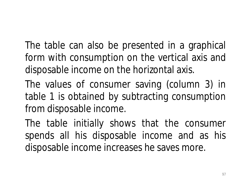The table can also be presented in a graphical form with consumption on the vertical axis and disposable income on the horizontal axis.

The values of consumer saving (column 3) in table 1 is obtained by subtracting consumption from disposable income.

The table initially shows that the consumer spends all his disposable income and as his disposable income increases he saves more.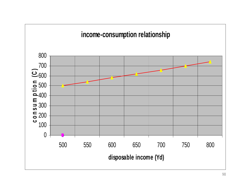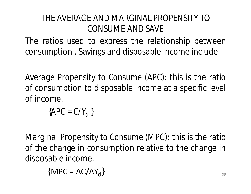#### THE AVERAGE AND MARGINAL PROPENSITY TO CONSUME AND SAVE

The ratios used to express the relationship between consumption , Savings and disposable income include:

*Average Propensity to Consume* (APC): this is the ratio of consumption to disposable income at a specific level of income.

 ${APC = C/Y_d}$ 

*Marginal Propensity to Consume* (MPC): this is the ratio of the change in consumption relative to the change in disposable income.

$$
\{MPC = \Delta C/\Delta Y_d\}
$$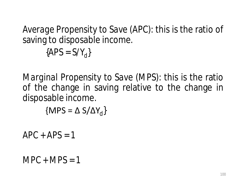*Average Propensity to Save* (APC): this is the ratio of saving to disposable income.

 ${APS = S/Y_d}$ 

*Marginal Propensity to Save* (MPS): this is the ratio of the change in saving relative to the change in disposable income.

 ${MPS = \Delta S/\Delta Y_d}$ 

*APC + APS = 1*

*MPC + MPS = 1*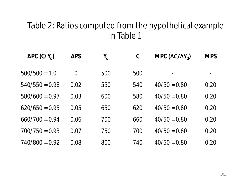#### Table 2: Ratios computed from the hypothetical example in Table 1

| APC $(C/Y_{d})$  | <b>APS</b>     | $\mathsf{Y}_{\mathsf{d}}$ | C   | MPC ( $\Delta C/\Delta Y_d$ ) | <b>MPS</b> |
|------------------|----------------|---------------------------|-----|-------------------------------|------------|
| $500/500 = 1.0$  | $\overline{0}$ | 500                       | 500 |                               |            |
| $540/550 = 0.98$ | 0.02           | 550                       | 540 | $40/50 = 0.80$                | 0.20       |
| $580/600 = 0.97$ | 0.03           | 600                       | 580 | $40/50 = 0.80$                | 0.20       |
| $620/650 = 0.95$ | 0.05           | 650                       | 620 | $40/50 = 0.80$                | 0.20       |
| $660/700 = 0.94$ | 0.06           | 700                       | 660 | $40/50 = 0.80$                | 0.20       |
| $700/750 = 0.93$ | 0.07           | 750                       | 700 | $40/50 = 0.80$                | 0.20       |
| $740/800 = 0.92$ | 0.08           | 800                       | 740 | $40/50 = 0.80$                | 0.20       |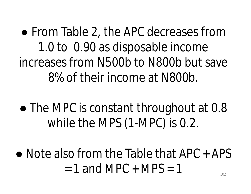● From Table 2, the *APC* decreases from 1.0 to 0.90 as disposable income increases from N500b to N800b but save 8% of their income at N800b.

- The *MPC* is constant throughout at 0.8 while the *MPS (1-MPC)* is 0.2.
- Note also from the Table that *APC + APS*   $= 1$  and *MPC + MPS = 1*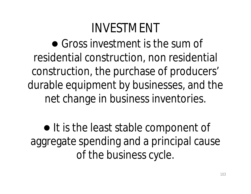# INVESTMENT

● *Gross investment* is the sum of residential construction, non residential construction, the purchase of producers' durable equipment by businesses, and the net change in business inventories.

● It is the least stable component of aggregate spending and a principal cause of the business cycle.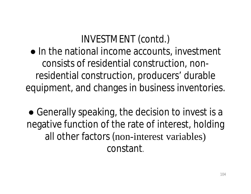• In the national income accounts, investment consists of residential construction, nonresidential construction, producers' durable equipment, and changes in business inventories.

● Generally speaking, the decision to invest is a negative function of the rate of interest, holding all other factors (non-interest variables) constant.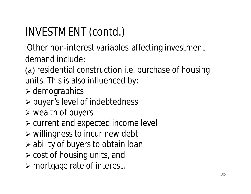Other non-interest variables affecting investment demand include:

(a) residential construction i.e. purchase of housing units. This is also influenced by:

 $\triangleright$  demographics

- buyer's level of indebtedness
- $\triangleright$  wealth of buyers
- current and expected income level
- $\triangleright$  willingness to incur new debt
- ability of buyers to obtain loan
- $\triangleright$  cost of housing units, and
- mortgage rate of interest.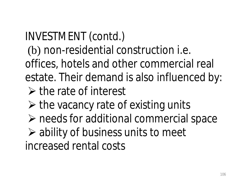- (b) non-residential construction i.e.
- offices, hotels and other commercial real
- estate. Their demand is also influenced by:
	- $\triangleright$  the rate of interest
	- $\triangleright$  the vacancy rate of existing units
	- $\triangleright$  needs for additional commercial space
- ability of business units to meet

increased rental costs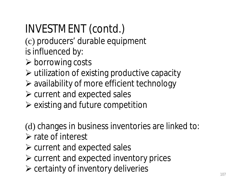(c) producers' durable equipment is influenced by:

- $\triangleright$  borrowing costs
- $\triangleright$  utilization of existing productive capacity
- availability of more efficient technology
- $\triangleright$  current and expected sales
- $\triangleright$  existing and future competition

(d) changes in business inventories are linked to:

- $\triangleright$  rate of interest
- $\triangleright$  current and expected sales
- $\triangleright$  current and expected inventory prices
- $\triangleright$  certainty of inventory deliveries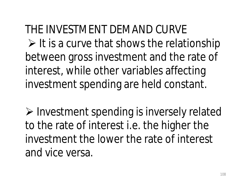THE INVESTMENT DEMAND CURVE  $\triangleright$  It is a curve that shows the relationship between gross investment and the rate of interest, while other variables affecting investment spending are held constant.

 $\triangleright$  Investment spending is inversely related to the rate of interest i.e. the higher the investment the lower the rate of interest and vice versa.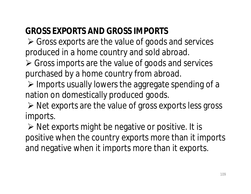#### **GROSS EXPORTS AND GROSS IMPORTS**

 *Gross exports* are the value of goods and services produced in a home country and sold abroad.

 *Gross imports* are the value of goods and services purchased by a home country from abroad.

 $\triangleright$  Imports usually lowers the aggregate spending of a nation on domestically produced goods.

 *Net exports* are the value of gross exports less gross imports.

 $\triangleright$  Net exports might be negative or positive. It is positive when the country exports more than it imports and negative when it imports more than it exports.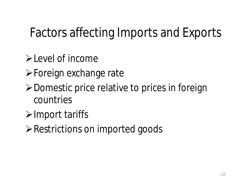#### Factors affecting Imports and Exports

**Example 1** Evel of income

**≻Foreign exchange rate** 

- **≻Domestic price relative to prices in foreign** countries
- $\triangleright$  Import tariffs
- Restrictions on imported goods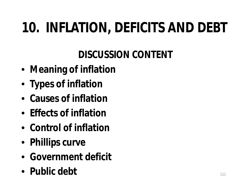# **10. INFLATION, DEFICITS AND DEBT**

**DISCUSSION CONTENT**

- **Meaning of inflation**
- **Types of inflation**
- **Causes of inflation**
- **Effects of inflation**
- **Control of inflation**
- **Phillips curve**
- **Government deficit**
- **Public debt** 111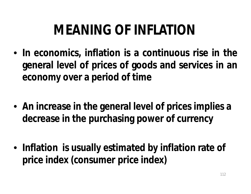### **MEANING OF INFLATION**

- **In economics, inflation is a continuous rise in the general level of prices of goods and services in an economy over a period of time**
- **An increase in the general level of prices implies a decrease in the purchasing power of currency**
- **Inflation is usually estimated by inflation rate of price index (consumer price index)**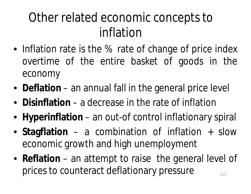#### Other related economic concepts to inflation

- Inflation rate is the % rate of change of price index overtime of the entire basket of goods in the economy
- **Deflation** an annual fall in the general price level
- **Disinflation** a decrease in the rate of inflation
- **Hyperinflation** an out-of control inflationary spiral
- **Stagflation** a combination of inflation + slow economic growth and high unemployment
- **Reflation** an attempt to raise the general level of prices to counteract deflationary pressure  $113$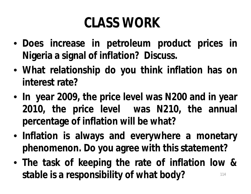### **CLASS WORK**

- **Does increase in petroleum product prices in Nigeria a signal of inflation? Discuss.**
- **What relationship do you think inflation has on interest rate?**
- **In year 2009, the price level was N200 and in year 2010, the price level was N210, the annual percentage of inflation will be what?**
- **Inflation is always and everywhere a monetary phenomenon. Do you agree with this statement?**
- **The task of keeping the rate of inflation low & stable is a responsibility of what body?** <sup>114</sup>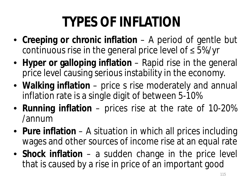# **TYPES OF INFLATION**

- **Creeping or chronic inflation** A period of gentle but continuous rise in the general price level of ≤ 5%/yr
- **Hyper or galloping inflation** Rapid rise in the general price level causing serious instability in the economy.
- **Walking inflation** price s rise moderately and annual inflation rate is a single digit of between 5-10%
- **Running inflation** prices rise at the rate of 10-20% /annum
- **Pure inflation** A situation in which all prices including wages and other sources of income rise at an equal rate
- **Shock inflation** a sudden change in the price level that is caused by a rise in price of an important good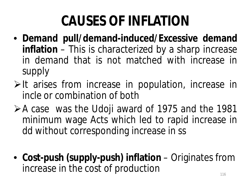# **CAUSES OF INFLATION**

- **Demand pull/demand-induced/Excessive demand inflation** – This is characterized by a sharp increase in demand that is not matched with increase in supply
- $\triangleright$ It arises from increase in population, increase in incle or combination of both
- A case was the Udoji award of 1975 and the 1981 minimum wage Acts which led to rapid increase in dd without corresponding increase in ss
- **Cost-push (supply-push) inflation**  Originates from increase in the cost of production  $116$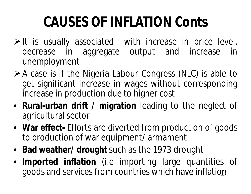# **CAUSES OF INFLATION Conts**

- $\triangleright$  It is usually associated with increase in price level, decrease in aggregate output and increase in unemployment
- A case is if the Nigeria Labour Congress (NLC) is able to get significant increase in wages without corresponding increase in production due to higher cost
- **Rural-urban drift / migration** leading to the neglect of agricultural sector
- **War effect-** Efforts are diverted from production of goods to production of war equipment/ armament
- **Bad weather/ drought** such as the 1973 drought
- **Imported inflation** (i.e importing large quantities of goods and services from countries which have inflation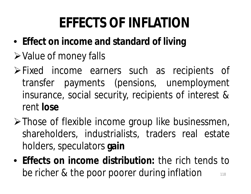## **EFFECTS OF INFLATION**

- **Effect on income and standard of living**
- Value of money falls
- **Fixed income earners such as recipients of** transfer payments (pensions, unemployment insurance, social security, recipients of interest & rent **lose**
- $\triangleright$  Those of flexible income group like businessmen, shareholders, industrialists, traders real estate holders, speculators **gain**
- **Effects on income distribution:** the rich tends to be richer & the poor poorer during inflation  $118$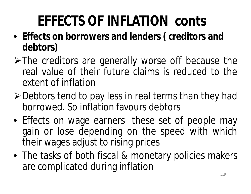# **EFFECTS OF INFLATION conts**

- **Effects on borrowers and lenders ( creditors and debtors)**
- $\triangleright$  The creditors are generally worse off because the real value of their future claims is reduced to the extent of inflation
- **≻Debtors tend to pay less in real terms than they had** borrowed. So inflation favours debtors
- Effects on wage earners- these set of people may gain or lose depending on the speed with which their wages adjust to rising prices
- The tasks of both fiscal & monetary policies makers are complicated during inflation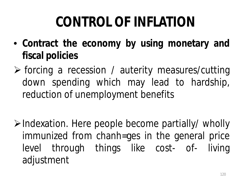# **CONTROL OF INFLATION**

- **Contract the economy by using monetary and fiscal policies**
- $\triangleright$  forcing a recession / auterity measures/cutting down spending which may lead to hardship, reduction of unemployment benefits
- $\triangleright$ Indexation. Here people become partially/ wholly immunized from chanh=ges in the general price level through things like cost- of- living adjustment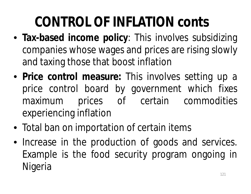# **CONTROL OF INFLATION conts**

- **Tax-based income policy**: This involves subsidizing companies whose wages and prices are rising slowly and taxing those that boost inflation
- **Price control measure:** This involves setting up a price control board by government which fixes maximum prices of certain commodities experiencing inflation
- Total ban on importation of certain items
- Increase in the production of goods and services. Example is the food security program ongoing in Nigeria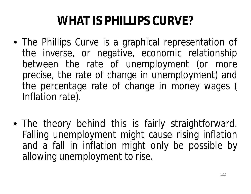#### **WHAT IS PHILLIPS CURVE?**

- The Phillips Curve is a graphical representation of the inverse, or negative, economic relationship between the rate of unemployment (or more precise, the rate of change in unemployment) and the percentage rate of change in money wages ( Inflation rate).
- The theory behind this is fairly straightforward. Falling unemployment might cause rising inflation and a fall in inflation might only be possible by allowing unemployment to rise.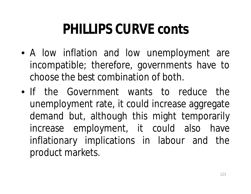### **PHILLIPS CURVE conts**

- A low inflation and low unemployment are incompatible; therefore, governments have to choose the best combination of both.
- If the Government wants to reduce the unemployment rate, it could increase aggregate demand but, although this might temporarily increase employment, it could also have inflationary implications in labour and the product markets.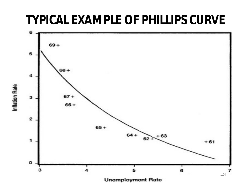#### **TYPICAL EXAMPLE OF PHILLIPS CURVE**



Inflation Rate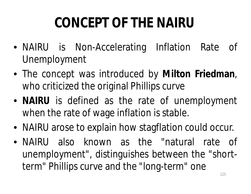# **CONCEPT OF THE NAIRU**

- *NAIRU* is Non-Accelerating Inflation Rate of Unemployment
- The concept was introduced by **Milton Friedman**, who criticized the original Phillips curve
- **NAIRU** is defined as the rate of unemployment when the rate of wage inflation is stable.
- NAIRU arose to explain how stagflation could occur.
- NAIRU also known as the "natural rate of unemployment", distinguishes between the "shortterm" Phillips curve and the "long-term" one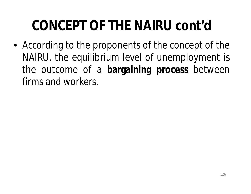# **CONCEPT OF THE NAIRU cont'd**

• According to the proponents of the concept of the NAIRU, the equilibrium level of unemployment is the outcome of a **bargaining process** between firms and workers.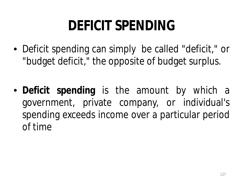# **DEFICIT SPENDING**

- Deficit spending can simply be called "deficit," or "budget deficit," the opposite of budget surplus.
- **Deficit spending** is the amount by which a government, private company, or individual's spending exceeds income over a particular period of time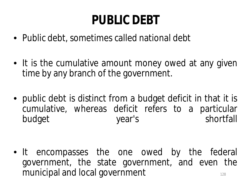#### **PUBLIC DEBT**

- Public debt, sometimes called national debt
- It is the cumulative amount money owed at any given time by any branch of the government.
- public debt is distinct from a budget deficit in that it is cumulative, whereas deficit refers to a particular budget year's shortfall

• It encompasses the one owed by the federal government, the state government, and even the municipal and local government municipal and local government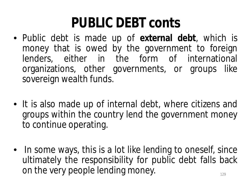#### **PUBLIC DEBT conts**

- Public debt is made up of **external debt**, which is money that is owed by the government to foreign lenders, either in the form of international organizations, other governments, or groups like sovereign wealth funds.
- It is also made up of internal debt, where citizens and groups within the country lend the government money to continue operating.
- In some ways, this is a lot like lending to oneself, since ultimately the responsibility for public debt falls back on the very people lending money. 129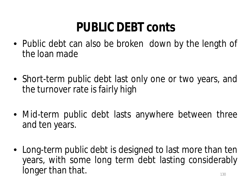#### **PUBLIC DEBT conts**

- Public debt can also be broken down by the length of the loan made
- Short-term public debt last only one or two years, and the turnover rate is fairly high
- Mid-term public debt lasts anywhere between three and ten years.
- Long-term public debt is designed to last more than ten years, with some long term debt lasting considerably longer than that. 130